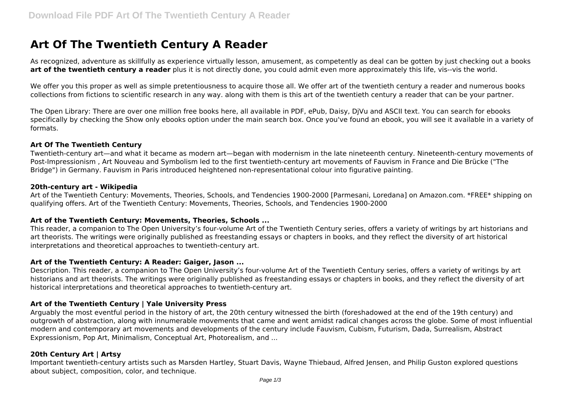# **Art Of The Twentieth Century A Reader**

As recognized, adventure as skillfully as experience virtually lesson, amusement, as competently as deal can be gotten by just checking out a books **art of the twentieth century a reader** plus it is not directly done, you could admit even more approximately this life, vis--vis the world.

We offer you this proper as well as simple pretentiousness to acquire those all. We offer art of the twentieth century a reader and numerous books collections from fictions to scientific research in any way. along with them is this art of the twentieth century a reader that can be your partner.

The Open Library: There are over one million free books here, all available in PDF, ePub, Daisy, DjVu and ASCII text. You can search for ebooks specifically by checking the Show only ebooks option under the main search box. Once you've found an ebook, you will see it available in a variety of formats.

## **Art Of The Twentieth Century**

Twentieth-century art—and what it became as modern art—began with modernism in the late nineteenth century. Nineteenth-century movements of Post-Impressionism , Art Nouveau and Symbolism led to the first twentieth-century art movements of Fauvism in France and Die Brücke ("The Bridge") in Germany. Fauvism in Paris introduced heightened non-representational colour into figurative painting.

#### **20th-century art - Wikipedia**

Art of the Twentieth Century: Movements, Theories, Schools, and Tendencies 1900-2000 [Parmesani, Loredana] on Amazon.com. \*FREE\* shipping on qualifying offers. Art of the Twentieth Century: Movements, Theories, Schools, and Tendencies 1900-2000

## **Art of the Twentieth Century: Movements, Theories, Schools ...**

This reader, a companion to The Open University's four-volume Art of the Twentieth Century series, offers a variety of writings by art historians and art theorists. The writings were originally published as freestanding essays or chapters in books, and they reflect the diversity of art historical interpretations and theoretical approaches to twentieth-century art.

## **Art of the Twentieth Century: A Reader: Gaiger, Jason ...**

Description. This reader, a companion to The Open University's four-volume Art of the Twentieth Century series, offers a variety of writings by art historians and art theorists. The writings were originally published as freestanding essays or chapters in books, and they reflect the diversity of art historical interpretations and theoretical approaches to twentieth-century art.

## **Art of the Twentieth Century | Yale University Press**

Arguably the most eventful period in the history of art, the 20th century witnessed the birth (foreshadowed at the end of the 19th century) and outgrowth of abstraction, along with innumerable movements that came and went amidst radical changes across the globe. Some of most influential modern and contemporary art movements and developments of the century include Fauvism, Cubism, Futurism, Dada, Surrealism, Abstract Expressionism, Pop Art, Minimalism, Conceptual Art, Photorealism, and ...

## **20th Century Art | Artsy**

Important twentieth-century artists such as Marsden Hartley, Stuart Davis, Wayne Thiebaud, Alfred Jensen, and Philip Guston explored questions about subject, composition, color, and technique.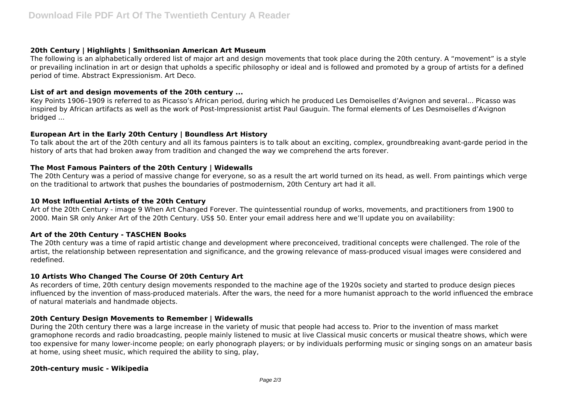## **20th Century | Highlights | Smithsonian American Art Museum**

The following is an alphabetically ordered list of major art and design movements that took place during the 20th century. A "movement" is a style or prevailing inclination in art or design that upholds a specific philosophy or ideal and is followed and promoted by a group of artists for a defined period of time. Abstract Expressionism. Art Deco.

## **List of art and design movements of the 20th century ...**

Key Points 1906–1909 is referred to as Picasso's African period, during which he produced Les Demoiselles d'Avignon and several... Picasso was inspired by African artifacts as well as the work of Post-Impressionist artist Paul Gauguin. The formal elements of Les Desmoiselles d'Avignon bridged ...

## **European Art in the Early 20th Century | Boundless Art History**

To talk about the art of the 20th century and all its famous painters is to talk about an exciting, complex, groundbreaking avant-garde period in the history of arts that had broken away from tradition and changed the way we comprehend the arts forever.

## **The Most Famous Painters of the 20th Century | Widewalls**

The 20th Century was a period of massive change for everyone, so as a result the art world turned on its head, as well. From paintings which verge on the traditional to artwork that pushes the boundaries of postmodernism, 20th Century art had it all.

## **10 Most Influential Artists of the 20th Century**

Art of the 20th Century - image 9 When Art Changed Forever. The quintessential roundup of works, movements, and practitioners from 1900 to 2000. Main SR only Anker Art of the 20th Century. US\$ 50. Enter your email address here and we'll update you on availability:

## **Art of the 20th Century - TASCHEN Books**

The 20th century was a time of rapid artistic change and development where preconceived, traditional concepts were challenged. The role of the artist, the relationship between representation and significance, and the growing relevance of mass-produced visual images were considered and redefined.

# **10 Artists Who Changed The Course Of 20th Century Art**

As recorders of time, 20th century design movements responded to the machine age of the 1920s society and started to produce design pieces influenced by the invention of mass-produced materials. After the wars, the need for a more humanist approach to the world influenced the embrace of natural materials and handmade objects.

## **20th Century Design Movements to Remember | Widewalls**

During the 20th century there was a large increase in the variety of music that people had access to. Prior to the invention of mass market gramophone records and radio broadcasting, people mainly listened to music at live Classical music concerts or musical theatre shows, which were too expensive for many lower-income people; on early phonograph players; or by individuals performing music or singing songs on an amateur basis at home, using sheet music, which required the ability to sing, play,

## **20th-century music - Wikipedia**